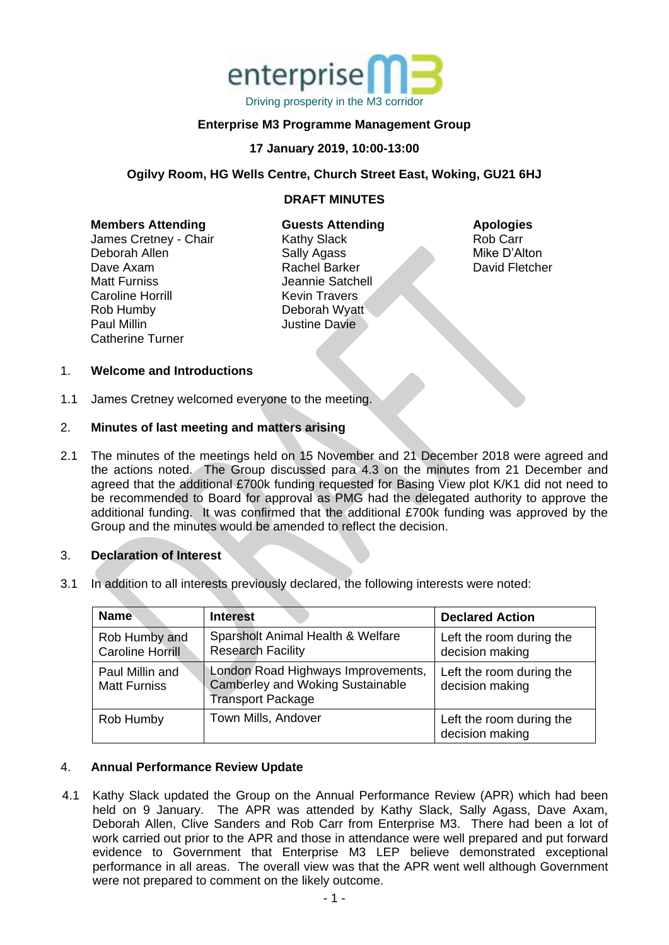

## **Enterprise M3 Programme Management Group**

### **17 January 2019, 10:00-13:00**

### **Ogilvy Room, HG Wells Centre, Church Street East, Woking, GU21 6HJ**

## **DRAFT MINUTES**

| <b>Members Attending</b> |  |  |
|--------------------------|--|--|
| James Cretney - Chair    |  |  |
| Doborob Allon            |  |  |

Deborah Allen Dave Axam Matt Furniss Caroline Horrill Rob Humby Paul Millin Catherine Turner **Guests Attending** Kathy Slack Sally Agass Rachel Barker Jeannie Satchell Kevin Travers Deborah Wyatt Justine Davie

**Apologies** Rob Carr Mike D'Alton David Fletcher

#### 1. **Welcome and Introductions**

1.1 James Cretney welcomed everyone to the meeting.

#### 2. **Minutes of last meeting and matters arising**

2.1 The minutes of the meetings held on 15 November and 21 December 2018 were agreed and the actions noted. The Group discussed para 4.3 on the minutes from 21 December and agreed that the additional £700k funding requested for Basing View plot K/K1 did not need to be recommended to Board for approval as PMG had the delegated authority to approve the additional funding. It was confirmed that the additional £700k funding was approved by the Group and the minutes would be amended to reflect the decision.

#### 3. **Declaration of Interest**

3.1 In addition to all interests previously declared, the following interests were noted:

| <b>Name</b>                              | <b>Interest</b>                                                                                           | <b>Declared Action</b>                      |
|------------------------------------------|-----------------------------------------------------------------------------------------------------------|---------------------------------------------|
| Rob Humby and<br><b>Caroline Horrill</b> | Sparsholt Animal Health & Welfare<br><b>Research Facility</b>                                             | Left the room during the<br>decision making |
| Paul Millin and<br><b>Matt Furniss</b>   | London Road Highways Improvements,<br><b>Camberley and Woking Sustainable</b><br><b>Transport Package</b> | Left the room during the<br>decision making |
| Rob Humby                                | Town Mills, Andover                                                                                       | Left the room during the<br>decision making |

#### 4. **Annual Performance Review Update**

4.1 Kathy Slack updated the Group on the Annual Performance Review (APR) which had been held on 9 January. The APR was attended by Kathy Slack, Sally Agass, Dave Axam, Deborah Allen, Clive Sanders and Rob Carr from Enterprise M3. There had been a lot of work carried out prior to the APR and those in attendance were well prepared and put forward evidence to Government that Enterprise M3 LEP believe demonstrated exceptional performance in all areas. The overall view was that the APR went well although Government were not prepared to comment on the likely outcome.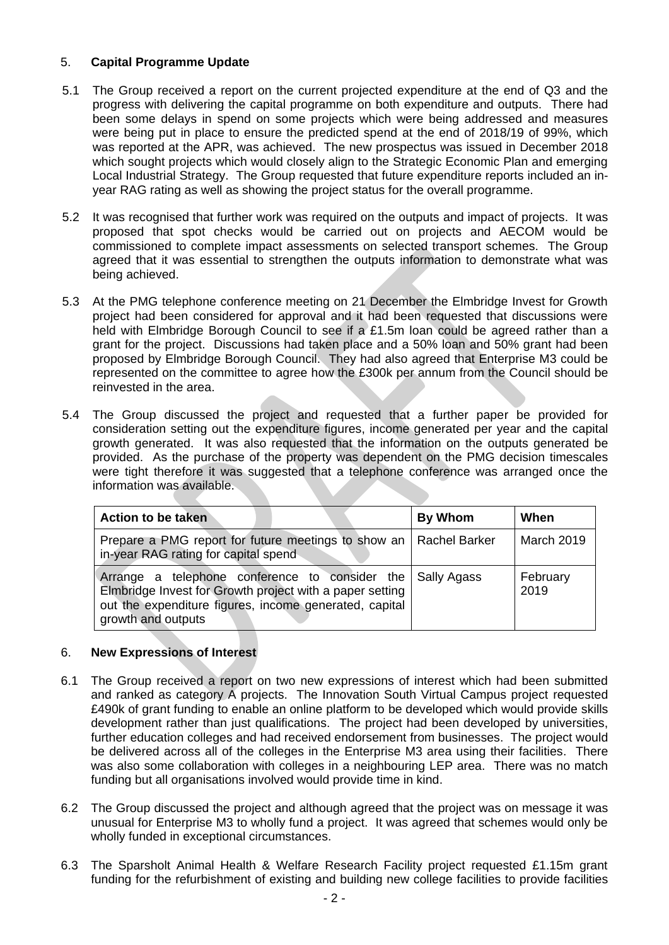## 5. **Capital Programme Update**

- 5.1 The Group received a report on the current projected expenditure at the end of Q3 and the progress with delivering the capital programme on both expenditure and outputs. There had been some delays in spend on some projects which were being addressed and measures were being put in place to ensure the predicted spend at the end of 2018/19 of 99%, which was reported at the APR, was achieved. The new prospectus was issued in December 2018 which sought projects which would closely align to the Strategic Economic Plan and emerging Local Industrial Strategy. The Group requested that future expenditure reports included an inyear RAG rating as well as showing the project status for the overall programme.
- 5.2 It was recognised that further work was required on the outputs and impact of projects. It was proposed that spot checks would be carried out on projects and AECOM would be commissioned to complete impact assessments on selected transport schemes. The Group agreed that it was essential to strengthen the outputs information to demonstrate what was being achieved.
- 5.3 At the PMG telephone conference meeting on 21 December the Elmbridge Invest for Growth project had been considered for approval and it had been requested that discussions were held with Elmbridge Borough Council to see if a £1.5m loan could be agreed rather than a grant for the project. Discussions had taken place and a 50% loan and 50% grant had been proposed by Elmbridge Borough Council. They had also agreed that Enterprise M3 could be represented on the committee to agree how the £300k per annum from the Council should be reinvested in the area.
- 5.4 The Group discussed the project and requested that a further paper be provided for consideration setting out the expenditure figures, income generated per year and the capital growth generated. It was also requested that the information on the outputs generated be provided. As the purchase of the property was dependent on the PMG decision timescales were tight therefore it was suggested that a telephone conference was arranged once the information was available.

| Action to be taken                                                                                                                                                                                     | By Whom | When              |
|--------------------------------------------------------------------------------------------------------------------------------------------------------------------------------------------------------|---------|-------------------|
| Prepare a PMG report for future meetings to show an   Rachel Barker<br>in-year RAG rating for capital spend                                                                                            |         | <b>March 2019</b> |
| Arrange a telephone conference to consider the Sally Agass<br>Elmbridge Invest for Growth project with a paper setting<br>out the expenditure figures, income generated, capital<br>growth and outputs |         | February<br>2019  |

## 6. **New Expressions of Interest**

- 6.1 The Group received a report on two new expressions of interest which had been submitted and ranked as category A projects. The Innovation South Virtual Campus project requested £490k of grant funding to enable an online platform to be developed which would provide skills development rather than just qualifications. The project had been developed by universities, further education colleges and had received endorsement from businesses. The project would be delivered across all of the colleges in the Enterprise M3 area using their facilities. There was also some collaboration with colleges in a neighbouring LEP area. There was no match funding but all organisations involved would provide time in kind.
- 6.2 The Group discussed the project and although agreed that the project was on message it was unusual for Enterprise M3 to wholly fund a project. It was agreed that schemes would only be wholly funded in exceptional circumstances.
- 6.3 The Sparsholt Animal Health & Welfare Research Facility project requested £1.15m grant funding for the refurbishment of existing and building new college facilities to provide facilities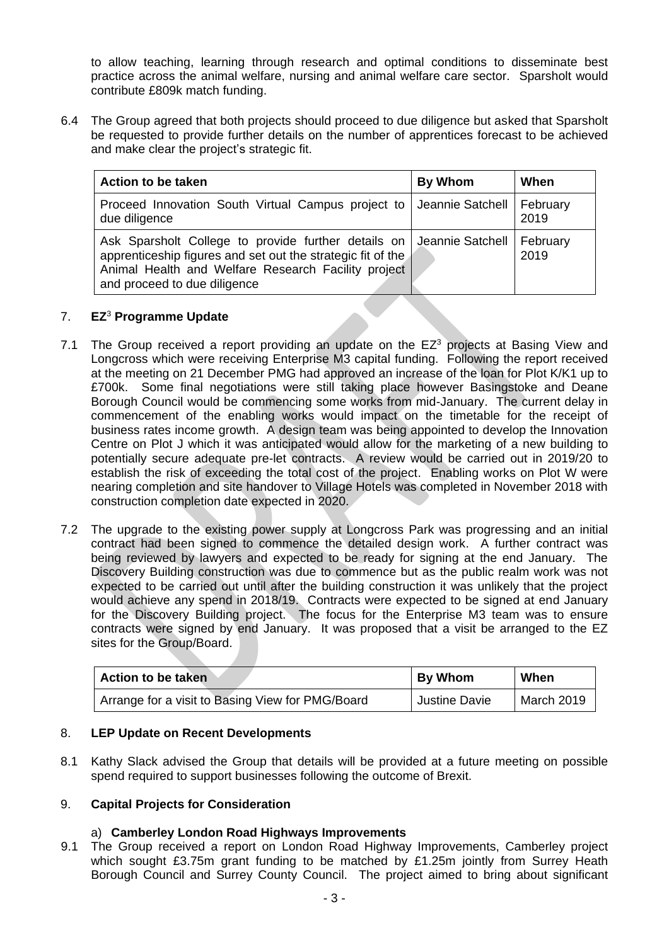to allow teaching, learning through research and optimal conditions to disseminate best practice across the animal welfare, nursing and animal welfare care sector. Sparsholt would contribute £809k match funding.

6.4 The Group agreed that both projects should proceed to due diligence but asked that Sparsholt be requested to provide further details on the number of apprentices forecast to be achieved and make clear the project's strategic fit.

| Action to be taken                                                                                                                                                                                                                    | By Whom | When |
|---------------------------------------------------------------------------------------------------------------------------------------------------------------------------------------------------------------------------------------|---------|------|
| Proceed Innovation South Virtual Campus project to   Jeannie Satchell   February<br>due diligence                                                                                                                                     |         | 2019 |
| Ask Sparsholt College to provide further details on Jeannie Satchell   February<br>apprenticeship figures and set out the strategic fit of the<br>Animal Health and Welfare Research Facility project<br>and proceed to due diligence |         | 2019 |

## 7. **EZ**<sup>3</sup> **Programme Update**

- 7.1 The Group received a report providing an update on the  $EZ<sup>3</sup>$  projects at Basing View and Longcross which were receiving Enterprise M3 capital funding. Following the report received at the meeting on 21 December PMG had approved an increase of the loan for Plot K/K1 up to £700k. Some final negotiations were still taking place however Basingstoke and Deane Borough Council would be commencing some works from mid-January. The current delay in commencement of the enabling works would impact on the timetable for the receipt of business rates income growth. A design team was being appointed to develop the Innovation Centre on Plot J which it was anticipated would allow for the marketing of a new building to potentially secure adequate pre-let contracts. A review would be carried out in 2019/20 to establish the risk of exceeding the total cost of the project. Enabling works on Plot W were nearing completion and site handover to Village Hotels was completed in November 2018 with construction completion date expected in 2020.
- 7.2 The upgrade to the existing power supply at Longcross Park was progressing and an initial contract had been signed to commence the detailed design work. A further contract was being reviewed by lawyers and expected to be ready for signing at the end January. The Discovery Building construction was due to commence but as the public realm work was not expected to be carried out until after the building construction it was unlikely that the project would achieve any spend in 2018/19. Contracts were expected to be signed at end January for the Discovery Building project. The focus for the Enterprise M3 team was to ensure contracts were signed by end January. It was proposed that a visit be arranged to the EZ sites for the Group/Board.

| <b>Action to be taken</b>                        | <b>By Whom</b>       | When       |
|--------------------------------------------------|----------------------|------------|
| Arrange for a visit to Basing View for PMG/Board | <b>Justine Davie</b> | March 2019 |

## 8. **LEP Update on Recent Developments**

8.1 Kathy Slack advised the Group that details will be provided at a future meeting on possible spend required to support businesses following the outcome of Brexit.

# 9. **Capital Projects for Consideration**

## a) **Camberley London Road Highways Improvements**

9.1 The Group received a report on London Road Highway Improvements, Camberley project which sought £3.75m grant funding to be matched by £1.25m jointly from Surrey Heath Borough Council and Surrey County Council. The project aimed to bring about significant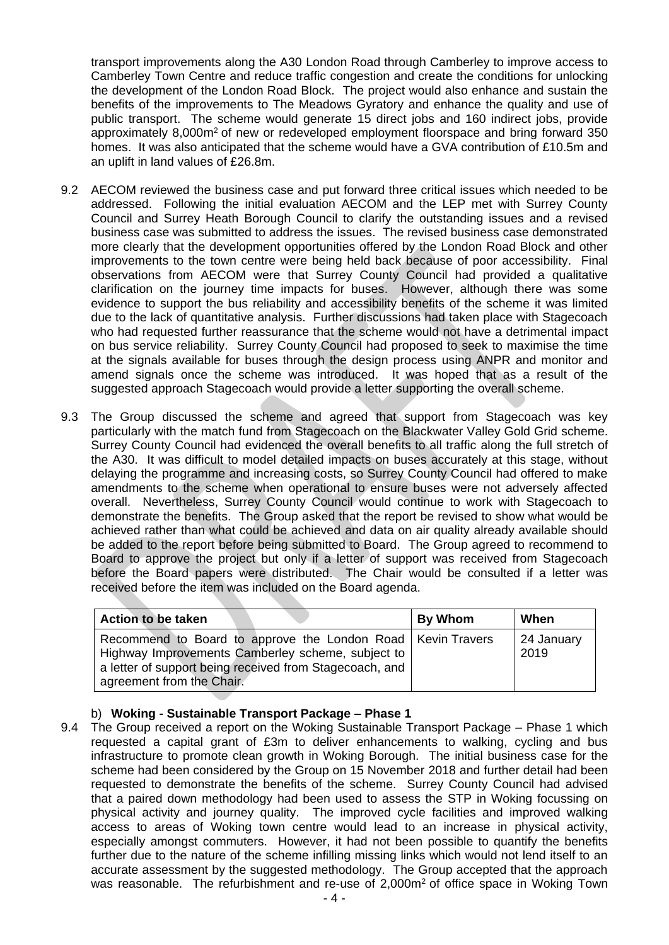transport improvements along the A30 London Road through Camberley to improve access to Camberley Town Centre and reduce traffic congestion and create the conditions for unlocking the development of the London Road Block. The project would also enhance and sustain the benefits of the improvements to The Meadows Gyratory and enhance the quality and use of public transport. The scheme would generate 15 direct jobs and 160 indirect jobs, provide approximately 8,000m<sup>2</sup> of new or redeveloped employment floorspace and bring forward 350 homes. It was also anticipated that the scheme would have a GVA contribution of £10.5m and an uplift in land values of £26.8m.

- 9.2 AECOM reviewed the business case and put forward three critical issues which needed to be addressed. Following the initial evaluation AECOM and the LEP met with Surrey County Council and Surrey Heath Borough Council to clarify the outstanding issues and a revised business case was submitted to address the issues. The revised business case demonstrated more clearly that the development opportunities offered by the London Road Block and other improvements to the town centre were being held back because of poor accessibility. Final observations from AECOM were that Surrey County Council had provided a qualitative clarification on the journey time impacts for buses. However, although there was some evidence to support the bus reliability and accessibility benefits of the scheme it was limited due to the lack of quantitative analysis. Further discussions had taken place with Stagecoach who had requested further reassurance that the scheme would not have a detrimental impact on bus service reliability. Surrey County Council had proposed to seek to maximise the time at the signals available for buses through the design process using ANPR and monitor and amend signals once the scheme was introduced. It was hoped that as a result of the suggested approach Stagecoach would provide a letter supporting the overall scheme.
- 9.3 The Group discussed the scheme and agreed that support from Stagecoach was key particularly with the match fund from Stagecoach on the Blackwater Valley Gold Grid scheme. Surrey County Council had evidenced the overall benefits to all traffic along the full stretch of the A30. It was difficult to model detailed impacts on buses accurately at this stage, without delaying the programme and increasing costs, so Surrey County Council had offered to make amendments to the scheme when operational to ensure buses were not adversely affected overall. Nevertheless, Surrey County Council would continue to work with Stagecoach to demonstrate the benefits. The Group asked that the report be revised to show what would be achieved rather than what could be achieved and data on air quality already available should be added to the report before being submitted to Board. The Group agreed to recommend to Board to approve the project but only if a letter of support was received from Stagecoach before the Board papers were distributed. The Chair would be consulted if a letter was received before the item was included on the Board agenda.

| <b>Action to be taken</b>                                                                                                                                                                                  | By Whom | When               |
|------------------------------------------------------------------------------------------------------------------------------------------------------------------------------------------------------------|---------|--------------------|
| Recommend to Board to approve the London Road   Kevin Travers<br>Highway Improvements Camberley scheme, subject to<br>a letter of support being received from Stagecoach, and<br>agreement from the Chair. |         | 24 January<br>2019 |

## b) **Woking - Sustainable Transport Package – Phase 1**

9.4 The Group received a report on the Woking Sustainable Transport Package – Phase 1 which requested a capital grant of £3m to deliver enhancements to walking, cycling and bus infrastructure to promote clean growth in Woking Borough. The initial business case for the scheme had been considered by the Group on 15 November 2018 and further detail had been requested to demonstrate the benefits of the scheme. Surrey County Council had advised that a paired down methodology had been used to assess the STP in Woking focussing on physical activity and journey quality. The improved cycle facilities and improved walking access to areas of Woking town centre would lead to an increase in physical activity, especially amongst commuters. However, it had not been possible to quantify the benefits further due to the nature of the scheme infilling missing links which would not lend itself to an accurate assessment by the suggested methodology. The Group accepted that the approach was reasonable. The refurbishment and re-use of 2,000m<sup>2</sup> of office space in Woking Town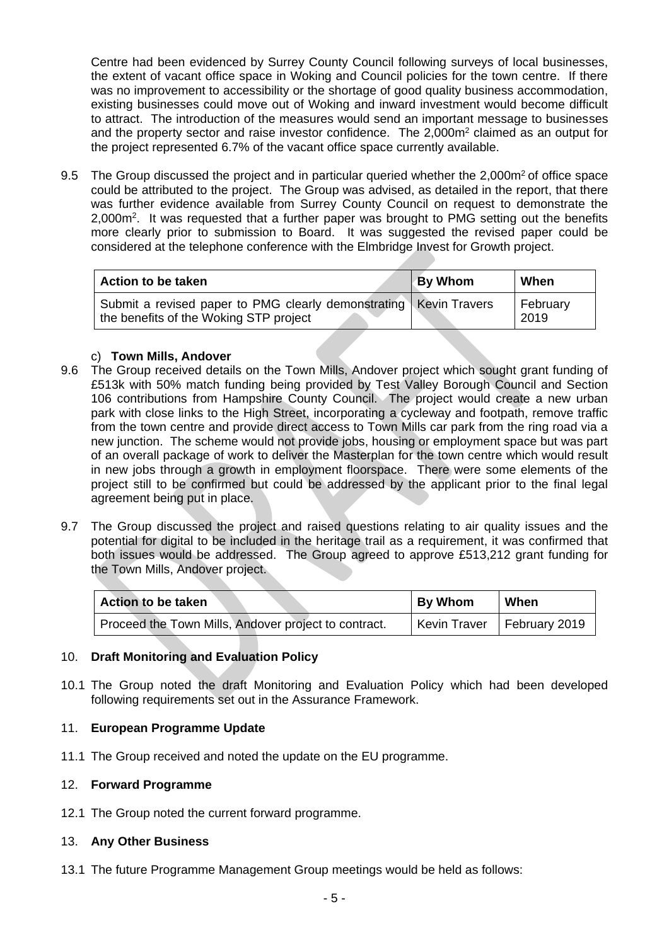Centre had been evidenced by Surrey County Council following surveys of local businesses, the extent of vacant office space in Woking and Council policies for the town centre. If there was no improvement to accessibility or the shortage of good quality business accommodation, existing businesses could move out of Woking and inward investment would become difficult to attract. The introduction of the measures would send an important message to businesses and the property sector and raise investor confidence. The 2,000m<sup>2</sup> claimed as an output for the project represented 6.7% of the vacant office space currently available.

9.5 The Group discussed the project and in particular queried whether the 2,000m<sup>2</sup> of office space could be attributed to the project. The Group was advised, as detailed in the report, that there was further evidence available from Surrey County Council on request to demonstrate the 2,000m<sup>2</sup>. It was requested that a further paper was brought to PMG setting out the benefits more clearly prior to submission to Board. It was suggested the revised paper could be considered at the telephone conference with the Elmbridge Invest for Growth project.

| Action to be taken                                                                                            | <b>By Whom</b> | When             |
|---------------------------------------------------------------------------------------------------------------|----------------|------------------|
| Submit a revised paper to PMG clearly demonstrating   Kevin Travers<br>the benefits of the Woking STP project |                | February<br>2019 |

## c) **Town Mills, Andover**

- 9.6 The Group received details on the Town Mills, Andover project which sought grant funding of £513k with 50% match funding being provided by Test Valley Borough Council and Section 106 contributions from Hampshire County Council. The project would create a new urban park with close links to the High Street, incorporating a cycleway and footpath, remove traffic from the town centre and provide direct access to Town Mills car park from the ring road via a new junction. The scheme would not provide jobs, housing or employment space but was part of an overall package of work to deliver the Masterplan for the town centre which would result in new jobs through a growth in employment floorspace. There were some elements of the project still to be confirmed but could be addressed by the applicant prior to the final legal agreement being put in place.
- 9.7 The Group discussed the project and raised questions relating to air quality issues and the potential for digital to be included in the heritage trail as a requirement, it was confirmed that both issues would be addressed. The Group agreed to approve £513,212 grant funding for the Town Mills, Andover project.

| <b>Action to be taken</b>                            | <b>By Whom</b>      | When          |
|------------------------------------------------------|---------------------|---------------|
| Proceed the Town Mills, Andover project to contract. | <b>Kevin Traver</b> | February 2019 |

# 10. **Draft Monitoring and Evaluation Policy**

10.1 The Group noted the draft Monitoring and Evaluation Policy which had been developed following requirements set out in the Assurance Framework.

## 11. **European Programme Update**

11.1 The Group received and noted the update on the EU programme.

## 12. **Forward Programme**

12.1 The Group noted the current forward programme.

## 13. **Any Other Business**

13.1 The future Programme Management Group meetings would be held as follows: